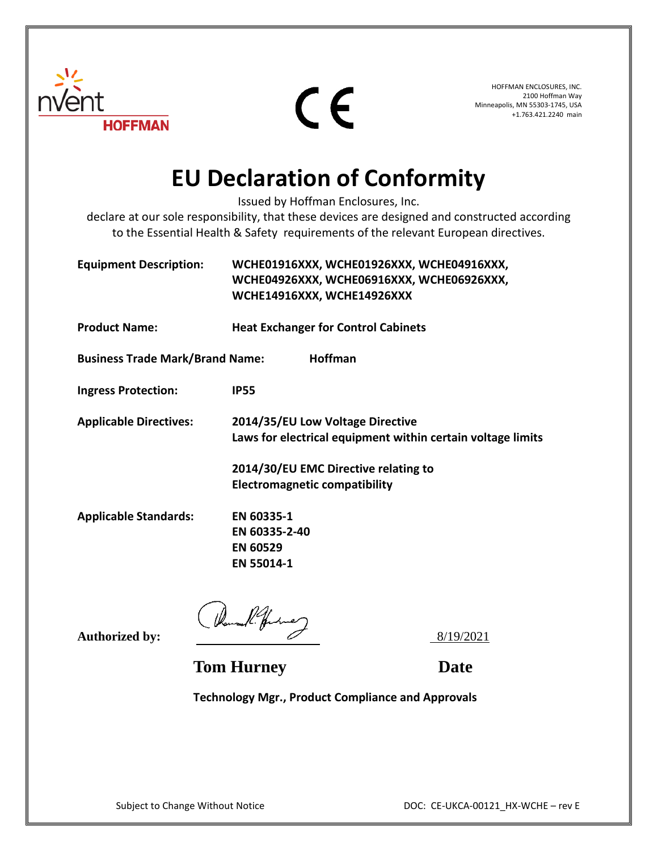

 $\epsilon$ 

HOFFMAN ENCLOSURES, INC. 2100 Hoffman Way Minneapolis, MN 55303-1745, USA +1.763.421.2240 main

## **EU Declaration of Conformity**

Issued by Hoffman Enclosures, Inc.

declare at our sole responsibility, that these devices are designed and constructed according to the Essential Health & Safety requirements of the relevant European directives.

**Equipment Description: WCHE01916XXX, WCHE01926XXX, WCHE04916XXX, WCHE04926XXX, WCHE06916XXX, WCHE06926XXX, WCHE14916XXX, WCHE14926XXX Product Name: Heat Exchanger for Control Cabinets Business Trade Mark/Brand Name: Hoffman Ingress Protection: IP55 Applicable Directives: 2014/35/EU Low Voltage Directive Laws for electrical equipment within certain voltage limits 2014/30/EU EMC Directive relating to Electromagnetic compatibility Applicable Standards: EN 60335-1 EN 60335-2-40 EN 60529 EN 55014-1**

Authorized by:  $\left( \frac{2}{100} \right)^{1/2}$ 

**Tom Hurney Date** 

**Technology Mgr., Product Compliance and Approvals**